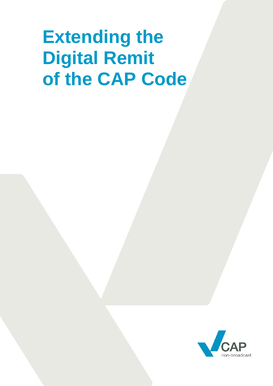# **Extending the Digital Remit of the CAP Code**

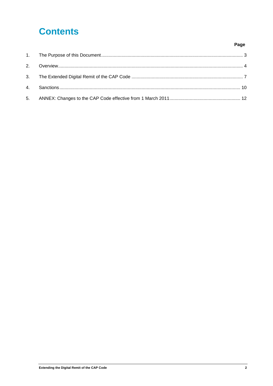# **Contents**

#### Page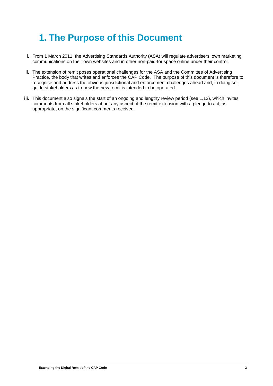# <span id="page-2-0"></span>**1. The Purpose of this Document**

- **i.** From 1 March 2011, the Advertising Standards Authority (ASA) will regulate advertisers' own marketing communications on their own websites and in other non-paid-for space online under their control.
- **ii.** The extension of remit poses operational challenges for the ASA and the Committee of Advertising Practice, the body that writes and enforces the CAP Code. The purpose of this document is therefore to recognise and address the obvious jurisdictional and enforcement challenges ahead and, in doing so, guide stakeholders as to how the new remit is intended to be operated.
- **iii.** This document also signals the start of an ongoing and lengthy review period (see 1.12), which invites comments from all stakeholders about any aspect of the remit extension with a pledge to act, as appropriate, on the significant comments received.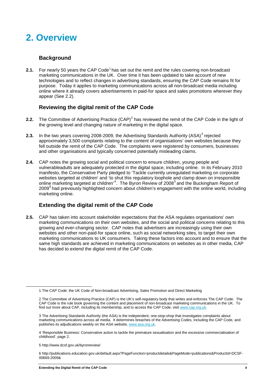# <span id="page-3-0"></span>**2. Overview**

### **Background**

**2.[1](#page-3-1).** For nearly 50 years the CAP Code<sup>1</sup> has set out the remit and the rules covering non-broadcast marketing communications in the UK. Over time it has been updated to take account of new technologies and to reflect changes in advertising standards, ensuring the CAP Code remains fit for purpose. Today it applies to marketing communications across all non-broadcast media including online where it already covers advertisements in paid-for space and sales promotions wherever they appear (See 2.2).

### **Reviewing the digital remit of the CAP Code**

- **[2](#page-3-2).2.** The Committee of Advertising Practice (CAP)<sup>2</sup> has reviewed the remit of the CAP Code in the light of the growing level and changing nature of marketing in the digital space.
- **2.[3](#page-3-3).** In the two years covering 2008-2009, the Advertising Standards Authority (ASA)<sup>3</sup> rejected approximately 3,500 complaints relating to the content of organisations' own websites because they fell outside the remit of the CAP Code. The complaints were registered by consumers, businesses and other organisations and typically concerned potentially misleading claims.
- **2.4.** CAP notes the growing social and political concern to ensure children, young people and vulnerableadults are adequately protected in the digital space, including online. In its February 2010 manifesto, the Conservative Party pledged to 'Tackle currently unregulated marketing on corporate websites targeted at children' and 'to shut this regulatory loophole and clamp down on irresponsible online marketing targeted at children'<sup>[4](#page-3-4)</sup>. The Byron Review of 2008<sup>[5](#page-3-5)</sup> and the Buckingham Report of 2009<sup>[6](#page-3-6)</sup> had previously highlighted concern about children's engagement with the online world, including marketing online.

# **Extending the digital remit of the CAP Code**

**2.5.** CAP has taken into account stakeholder expectations that the ASA regulates organisations' own marketing communications on their own websites, and the social and political concerns relating to this growing and ever-changing sector. CAP notes that advertisers are increasingly using their own websites and other non-paid-for space online, such as social networking sites, to target their own marketing communications to UK consumers. Taking these factors into account and to ensure that the same high standards are achieved in marketing communications on websites as in other media, CAP has decided to extend the digital remit of the CAP Code.

<span id="page-3-1"></span> <sup>1</sup> The CAP Code: the UK Code of Non-broadcast Advertising, Sales Promotion and Direct Marketing

<span id="page-3-2"></span><sup>2</sup> The Committee of Advertising Practice (CAP) is the UK's self-regulatory body that writes and enforces The CAP Code. The CAP Code is the rule book governing the content and placement of non-broadcast marketing communications in the UK. To find out more about CAP, including its membership, and to access the CAP Code, visit [www.cap.org.uk.](http://www.cap.org.uk/)

<span id="page-3-3"></span><sup>3</sup> The Advertising Standards Authority (the ASA) is the independent, one-stop-shop that investigates complaints about marketing communications across all media. It determines breaches of the Advertising Codes, including the CAP Code, and publishes its adjudications weekly on the ASA website, [www.asa.org.uk.](http://www.asa.org.uk/)

<span id="page-3-4"></span><sup>4</sup> 'Responsible Business: Conservative action to tackle the premature sexualisation and the excessive commercialisation of childhood'; page 2.

<span id="page-3-5"></span><sup>5</sup> http://www.dcsf.gov.uk/byronreview/

<span id="page-3-6"></span><sup>6</sup> http://publications.education.gov.uk/default.aspx?PageFunction=productdetails&PageMode=publications&ProductId=DCSF-00669-2009&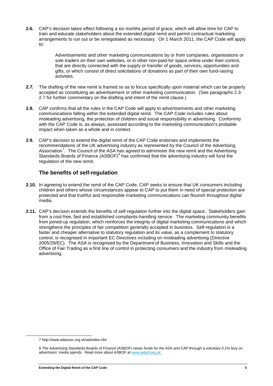**2.6.** CAP's decision takes effect following a six months period of grace, which will allow time for CAP to train and educate stakeholders about the extended digital remit and permit contractual marketing arrangements to run out or be renegotiated as necessary. On 1 March 2011, the CAP Code will apply to:

> Advertisements and other marketing communications by or from companies, organisations or sole traders on their own websites, or in other non-paid-for space online under their control, that are directly connected with the supply or transfer of goods, services, opportunities and gifts, or which consist of direct solicitations of donations as part of their own fund-raising activities.

- **2.7.** The drafting of the new remit is framed so as to focus specifically upon material which can be properly accepted as constituting an advertisement or other marketing communication. (See paragraphs 2.3- 2.7 for further commentary on the drafting and intent of the remit clause.)
- **2.8.** CAP confirms that all the rules in the CAP Code will apply to advertisements and other marketing communications falling within the extended digital remit. The CAP Code includes rules about misleading advertising, the protection of children and social responsibility in advertising. Conformity with the CAP Code is, as always, assessed according to the marketing communication's probable impact when taken as a whole and in context.
- **2.9.** CAP's decision to extend the digital remit of the CAP Code endorses and implements the recommendations of the UK advertising industry as represented by the Council of the Advertising Association<sup>[7](#page-4-0)</sup>. The Council of the ASA has agreed to administer the new remit and the Advertising Standards Boards of Finance (ASBOF)<sup>[8](#page-4-1)</sup> has confirmed that the advertising industry will fund the regulation of the new remit.

### **The benefits of self-regulation**

- **2.10.** In agreeing to extend the remit of the CAP Code, CAP seeks to ensure that UK consumers including children and others whose circumstances appear to CAP to put them in need of special protection are protected and that truthful and responsible marketing communications can flourish throughout digital media.
- **2.11.** CAP's decision extends the benefits of self-regulation further into the digital space. Stakeholders gain from a cost-free, fast and established complaints-handling service. The marketing community benefits from joined-up regulation, which reinforces the integrity of digital marketing communications and which strengthens the principles of fair competition generally accepted in business. Self-regulation is a faster and cheaper alternative to statutory regulation and its value, as a complement to statutory control, is recognised in important EC Directives including on misleading advertising (Directive 2005/29/EC). The ASA is recognised by the Department of Business, Innovation and Skills and the Office of Fair Trading as a first line of control in protecting consumers and the industry from misleading advertising.

<span id="page-4-0"></span> <sup>7</sup> http://www.adassoc.org.uk/aa/index.cfm

<span id="page-4-1"></span><sup>8</sup> The Advertising Standards Boards of Finance (ASBOF) raises funds for the ASA and CAP through a voluntary 0.1% levy on advertisers' media spends. Read more about ASBOF at [www.asbof.org.uk.](http://www.asbof.org.uk/)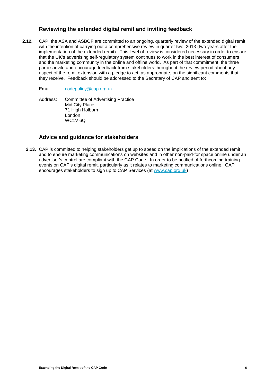### **Reviewing the extended digital remit and inviting feedback**

**2.12.** CAP, the ASA and ASBOF are committed to an ongoing, quarterly review of the extended digital remit with the intention of carrying out a comprehensive review in quarter two, 2013 (two years after the implementation of the extended remit). This level of review is considered necessary in order to ensure that the UK's advertising self-regulatory system continues to work in the best interest of consumers and the marketing community in the online and offline world. As part of that commitment, the three parties invite and encourage feedback from stakeholders throughout the review period about any aspect of the remit extension with a pledge to act, as appropriate, on the significant comments that they receive. Feedback should be addressed to the Secretary of CAP and sent to:

#### Email: [codepolicy@cap.org.uk](mailto:codepolicy@cap.org.uk)

Address: Committee of Advertising Practice Mid City Place 71 High Holborn London WC1V 6QT

#### **Advice and guidance for stakeholders**

**2.13.** CAP is committed to helping stakeholders get up to speed on the implications of the extended remit and to ensure marketing communications on websites and in other non-paid-for space online under an advertiser's control are compliant with the CAP Code. In order to be notified of forthcoming training events on CAP's digital remit, particularly as it relates to marketing communications online, CAP encourages stakeholders to sign up to CAP Services (at [www.cap.org.uk\)](http://www.cap.org.uk/)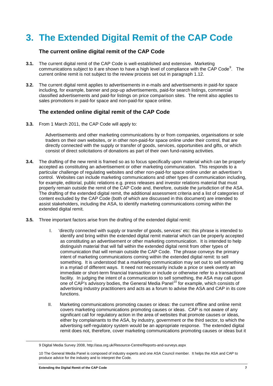# <span id="page-6-0"></span>**3. The Extended Digital Remit of the CAP Code**

#### **The current online digital remit of the CAP Code**

- **3.1.** The current digital remit of the CAP Code is well-established and extensive. Marketing communications subject to it are shown to have a high level of compliance with the CAP Code<sup>[9](#page-6-1)</sup>. The current online remit is not subject to the review process set out in paragraph 1.12.
- **3.2.** The current digital remit applies to advertisements in e-mails and advertisements in paid-for space including, for example, banner and pop-up advertisements, paid-for search listings, commercial classified advertisements and paid-for listings on price comparison sites. The remit also applies to sales promotions in paid-for space and non-paid-for space online.

#### **The extended online digital remit of the CAP Code**

**3.3.** From 1 March 2011, the CAP Code will apply to:

Advertisements and other marketing communications by or from companies, organisations or sole traders on their own websites, or in other non-paid-for space online under their control, that are directly connected with the supply or transfer of goods, services, opportunities and gifts, or which consist of direct solicitations of donations as part of their own fund-raising activities.

- **3.4.** The drafting of the new remit is framed so as to focus specifically upon material which can be properly accepted as constituting an advertisement or other marketing communication. This responds to a particular challenge of regulating websites and other non-paid-for space online under an advertiser's control. Websites can include marketing communications and other types of communication including, for example, editorial, public relations e.g. press releases and investor relations material that must properly remain outside the remit of the CAP Code and, therefore, outside the jurisdiction of the ASA. The drafting of the extended digital remit, the additional assessment criteria and a list of categories of content excluded by the CAP Code (both of which are discussed in this document) are intended to assist stakeholders, including the ASA, to identify marketing communications coming within the extended digital remit.
- **3.5.** Three important factors arise from the drafting of the extended digital remit:
	- I. 'directly connected with supply or transfer of goods, services' etc: this phrase is intended to identify and bring within the extended digital remit material which can be properly accepted as constituting an advertisement or other marketing communication. It is intended to help distinguish material that will fall within the extended digital remit from other types of communication that will remain outside the CAP Code. The phrase conveys the primary intent of marketing communications coming within the extended digital remit: to sell something. It is understood that a marketing communication may set out to sell something in a myriad of different ways. It need not necessarily include a price or seek overtly an immediate or short-term financial transaction or include or otherwise refer to a transactional facility. In judging the intent of a communication to sell something, the ASA may call upon one of CAP's advisory bodies, the General Media Panel<sup>[10](#page-6-2)</sup> for example, which consists of advertising industry practitioners and acts as a forum to advise the ASA and CAP in its core functions.
	- II. Marketing communications promoting causes or ideas: the current offline and online remit covers marketing communications promoting causes or ideas. CAP is not aware of any significant call for regulatory action in the area of websites that promote causes or ideas, either by complainants to the ASA, by industry, government or the third sector, to which the advertising self-regulatory system would be an appropriate response. The extended digital remit does not, therefore, cover marketing communications promoting causes or ideas but it

<span id="page-6-1"></span> <sup>9</sup> Digital Media Survey 2008, http://asa.org.uk/Resource-Centre/Reports-and-surveys.aspx

<span id="page-6-2"></span><sup>10</sup> The General Media Panel is composed of industry experts and one ASA Council member. It helps the ASA and CAP to produce advice for the industry and to interpret the Code.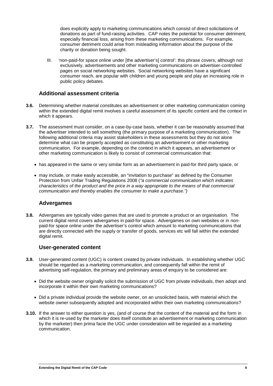does explicitly apply to marketing communications which consist of direct solicitations of donations as part of fund-raising activities. CAP notes the potential for consumer detriment, especially financial loss, arising from these marketing communications. For example, consumer detriment could arise from misleading information about the purpose of the charity or donation being sought.

III. 'non-paid-for space online under [the advertiser's] control': this phrase covers, although not exclusively, advertisements and other marketing communications on advertiser-controlled pages on social networking websites. Social networking websites have a significant consumer reach, are popular with children and young people and play an increasing role in public policy debates.

#### **Additional assessment criteria**

- **3.6.** Determining whether material constitutes an advertisement or other marketing communication coming within the extended digital remit involves a careful assessment of its specific content and the context in which it appears.
- **3.7.** The assessment must consider, on a case-by-case basis, whether it can be reasonably assumed that the advertiser intended to sell something (the primary purpose of a marketing communication). The following additional criteria may assist stakeholders in these assessments but they do not alone determine what can be properly accepted as constituting an advertisement or other marketing communication. For example, depending on the context in which it appears, an advertisement or other marketing communication is likely to consist of commercial communication that:
	- has appeared in the same or very similar form as an advertisement in paid-for third party space, or
	- may include, or make easily accessible, an "invitation to purchase" as defined by the Consumer Protection from Unfair Trading Regulations 2008 (*"a commercial communication which indicates characteristics of the product and the price in a way appropriate to the means of that commercial communication and thereby enables the consumer to make a purchase.")*

#### **Advergames**

**3.8.** Advergames are typically video games that are used to promote a product or an organisation. The current digital remit covers advergames in paid-for space. Advergames on own websites or in nonpaid-for space online under the advertiser's control which amount to marketing communications that are directly connected with the supply or transfer of goods, services etc will fall within the extended digital remit.

### **User-generated content**

- **3.9.** User-generated content (UGC) is content created by private individuals. In establishing whether UGC should be regarded as a marketing communication, and consequently fall within the remit of advertising self-regulation, the primary and preliminary areas of enquiry to be considered are:
	- Did the website owner originally solicit the submission of UGC from private individuals, then adopt and incorporate it within their own marketing communications?
	- Did a private individual provide the website owner, on an unsolicited basis, with material which the website owner subsequently adopted and incorporated within their own marketing communications?
- **3.10.** If the answer to either question is yes, (and of course that the content of the material and the form in which it is re-used by the marketer does itself constitute an advertisement or marketing communication by the marketer) then prima facie the UGC under consideration will be regarded as a marketing communication.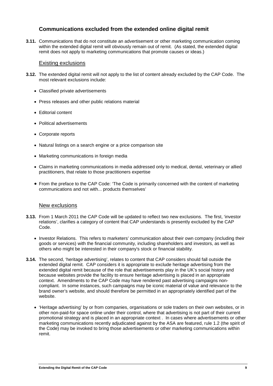### **Communications excluded from the extended online digital remit**

**3.11.** Communications that do not constitute an advertisement or other marketing communication coming within the extended digital remit will obviously remain out of remit. (As stated, the extended digital remit does not apply to marketing communications that promote causes or ideas.)

#### Existing exclusions

- **3.12.** The extended digital remit will not apply to the list of content already excluded by the CAP Code. The most relevant exclusions include:
	- Classified private advertisements
	- Press releases and other public relations material
	- Editorial content
	- Political advertisements
	- Corporate reports
	- Natural listings on a search engine or a price comparison site
	- Marketing communications in foreign media
	- Claims in marketing communications in media addressed only to medical, dental, veterinary or allied practitioners, that relate to those practitioners expertise
	- From the preface to the CAP Code: 'The Code is primarily concerned with the content of marketing communications and not with... products themselves'

#### New exclusions

- **3.13.** From 1 March 2011 the CAP Code will be updated to reflect two new exclusions. The first, 'investor relations', clarifies a category of content that CAP understands is presently excluded by the CAP Code.
	- Investor Relations. This refers to marketers' communication about their own company (including their goods or services) with the financial community, including shareholders and investors, as well as others who might be interested in their company's stock or financial stability.
- **3.14.** The second, 'heritage advertising', relates to content that CAP considers should fall outside the extended digital remit. CAP considers it is appropriate to exclude heritage advertising from the extended digital remit because of the role that advertisements play in the UK's social history and because websites provide the facility to ensure heritage advertising is placed in an appropriate context. Amendments to the CAP Code may have rendered past advertising campaigns noncompliant. In some instances, such campaigns may be iconic material of value and relevance to the brand owner's website, and should therefore be permitted in an appropriately identified part of the website.
	- 'Heritage advertising' by or from companies, organisations or sole traders on their own websites, or in other non-paid-for space online under their control, where that advertising is not part of their current promotional strategy and is placed in an appropriate context . In cases where advertisements or other marketing communications recently adjudicated against by the ASA are featured, rule 1.2 (the spirit of the Code) may be invoked to bring those advertisements or other marketing communications within remit.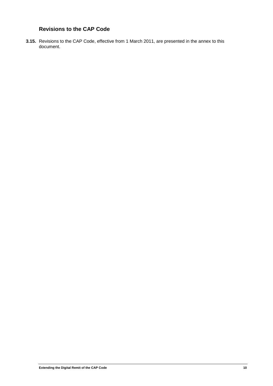# **Revisions to the CAP Code**

**3.15.** Revisions to the CAP Code, effective from 1 March 2011, are presented in the annex to this document.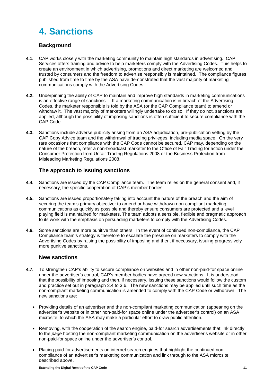# <span id="page-10-0"></span>**4. Sanctions**

# **Background**

- **4.1.** CAP works closely with the marketing community to maintain high standards in advertising. CAP Services offers training and advice to help marketers comply with the Advertising Codes. This helps to create an environment in which advertising, promotions and direct marketing are welcomed and trusted by consumers and the freedom to advertise responsibly is maintained. The compliance figures published from time to time by the ASA have demonstrated that the vast majority of marketing communications comply with the Advertising Codes.
- **4.2.** Underpinning the ability of CAP to maintain and improve high standards in marketing communications is an effective range of sanctions. If a marketing communication is in breach of the Advertising Codes, the marketer responsible is told by the ASA (or the CAP Compliance team) to amend or withdraw it. The vast majority of marketers willingly undertake to do so. If they do not, sanctions are applied, although the possibility of imposing sanctions is often sufficient to secure compliance with the CAP Code.
- **4.3.** Sanctions include adverse publicity arising from an ASA adjudication, pre-publication vetting by the CAP Copy Advice team and the withdrawal of trading privileges, including media space. On the very rare occasions that compliance with the CAP Code cannot be secured, CAP may, depending on the nature of the breach, refer a non-broadcast marketer to the Office of Fair Trading for action under the Consumer Protection from Unfair Trading Regulations 2008 or the Business Protection from Misleading Marketing Regulations 2008.

### **The approach to issuing sanctions**

- **4.4.** Sanctions are issued by the CAP Compliance team. The team relies on the general consent and, if necessary, the specific cooperation of CAP's member bodies.
- **4.5.** Sanctions are issued proportionately taking into account the nature of the breach and the aim of securing the team's primary objective: to amend or have withdrawn non-compliant marketing communications as quickly as possible and thereby ensure consumers are protected and a level playing field is maintained for marketers. The team adopts a sensible, flexible and pragmatic approach to its work with the emphasis on persuading marketers to comply with the Advertising Codes.
- **4.6.** Some sanctions are more punitive than others. In the event of continued non-compliance, the CAP Compliance team's strategy is therefore to escalate the pressure on marketers to comply with the Advertising Codes by raising the possibility of imposing and then, if necessary, issuing progressively more punitive sanctions.

### **New sanctions**

- **4.7.** To strengthen CAP's ability to secure compliance on websites and in other non-paid-for space online under the advertiser's control, CAP's member bodies have agreed new sanctions. It is understood that the possibility of imposing and then, if necessary, issuing these sanctions would follow the custom and practice set out in paragraph 3.4 to 3.6. The new sanctions may be applied until such time as the non-compliant marketing communication is amended to comply with the CAP Code or withdrawn. The new sanctions are:
	- Providing details of an advertiser and the non-compliant marketing communication (appearing on the advertiser's website or in other non-paid-for space online under the advertiser's control) on an ASA microsite, to which the ASA may make a particular effort to draw public attention.
	- Removing, with the cooperation of the search engine, paid-for search advertisements that link directly to the *page* hosting the non-compliant marketing communication on the advertiser's website or in other non-paid-for space online under the advertiser's control.
	- Placing paid-for advertisements on internet search engines that highlight the continued noncompliance of an advertiser's marketing communication and link through to the ASA microsite described above.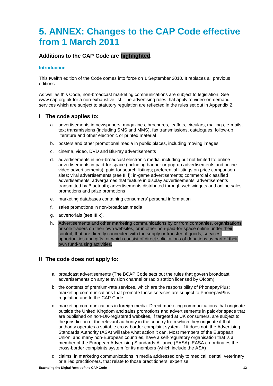# <span id="page-11-0"></span>**5. ANNEX: Changes to the CAP Code effective from 1 March 2011**

# **Additions to the CAP Code are highlighted.**

#### **Introduction**

This twelfth edition of the Code comes into force on 1 September 2010. It replaces all previous editions.

As well as this Code, non-broadcast marketing communications are subject to legislation. See www.cap.org.uk for a non-exhaustive list. The advertising rules that apply to video-on-demand services which are subject to statutory regulation are reflected in the rules set out in Appendix 2.

#### **I The code applies to:**

- a. advertisements in newspapers, magazines, brochures, leaflets, circulars, mailings, e-mails, text transmissions (including SMS and MMS), fax transmissions, catalogues, follow-up literature and other electronic or printed material
- b. posters and other promotional media in public places, including moving images
- c. cinema, video, DVD and Blu-ray advertisements
- d. advertisements in non-broadcast electronic media, including but not limited to: online advertisements in paid-for space (including banner or pop-up advertisements and online video advertisements); paid-for search listings; preferential listings on price comparison sites; viral adve**r**tisements (see III l); in-game advertisements; commercial classified advertisements; advergames that feature in display advertisements; advertisements transmitted by Bluetooth; advertisements distributed through web widgets and online sales promotions and prize promotions
- e. marketing databases containing consumers' personal information
- f. sales promotions in non-broadcast media
- g. advertorials (see III k).
- h. Advertisements and other marketing communications by or from companies, organisations or sole traders on their own websites, or in other non-paid-for space online under their control, that are directly connected with the supply or transfer of goods, services, opportunities and gifts, or which consist of direct solicitations of donations as part of their own fund-raising activities.

#### **II The code does not apply to:**

- a. broadcast advertisements (The BCAP Code sets out the rules that govern broadcast advertisements on any television channel or radio station licensed by Ofcom)
- b. the contents of premium-rate services, which are the responsibility of PhonepayPlus; marketing communications that promote those services are subject to PhonepayPlus regulation and to the CAP Code
- c. marketing communications in foreign media. Direct marketing communications that originate outside the United Kingdom and sales promotions and advertisements in paid-for space that are published on non-UK-registered websites, if targeted at UK consumers, are subject to the jurisdiction of the relevant authority in the country from which they originate if that authority operates a suitable cross-border complaint system. If it does not, the Advertising Standards Authority (ASA) will take what action it can. Most members of the European Union, and many non-European countries, have a self-regulatory organisation that is a member of the European Advertising Standards Alliance (EASA). EASA co-ordinates the cross-border complaints system for its members (which include the ASA)
- d. claims, in marketing communications in media addressed only to medical, dental, veterinary or allied practitioners, that relate to those practitioners' expertise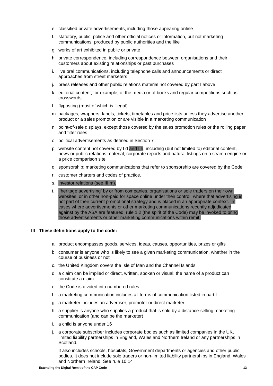- e. classified private advertisements, including those appearing online
- f. statutory, public, police and other official notices or information, but not marketing communications, produced by public authorities and the like
- g. works of art exhibited in public or private
- h. private correspondence, including correspondence between organisations and their customers about existing relationships or past purchases
- i. live oral communications, including telephone calls and announcements or direct approaches from street marketers
- j. press releases and other public relations material not covered by part I above
- k. editorial content; for example, of the media or of books and regular competitions such as crosswords
- l. flyposting (most of which is illegal)
- m. packages, wrappers, labels, tickets, timetables and price lists unless they advertise another product or a sales promotion or are visible in a marketing communication
- n. point-of-sale displays, except those covered by the sales promotion rules or the rolling paper and filter rules
- o. political advertisements as defined in Section 7
- p. website content not covered by I d and I h, including (but not limited to) editorial content, news or public relations material, corporate reports and natural listings on a search engine or a price comparison site
- q. sponsorship; marketing communications that refer to sponsorship are covered by the Code
- r. customer charters and codes of practice.
- s. investor relations (see III m).
- t. 'heritage advertising' by or from companies, organisations or sole traders on their own websites, or in other non-paid for space online under their control, where that advertising is not part of their current promotional strategy and is placed in an appropriate context. In cases where advertisements or other marketing communications recently adjudicated against by the ASA are featured, rule 1.2 (the spirit of the Code) may be invoked to bring those advertisements or other marketing communications within remit.

#### **III These definitions apply to the code:**

- a. product encompasses goods, services, ideas, causes, opportunities, prizes or gifts
- b. consumer is anyone who is likely to see a given marketing communication, whether in the course of business or not
- c. the United Kingdom covers the Isle of Man and the Channel Islands
- d. a claim can be implied or direct, written, spoken or visual; the name of a product can constitute a claim
- e. the Code is divided into numbered rules
- f. a marketing communication includes all forms of communication listed in part I
- g. a marketer includes an advertiser, promoter or direct marketer
- h. a supplier is anyone who supplies a product that is sold by a distance-selling marketing communication (and can be the marketer)
- i. a child is anyone under 16
- j. a corporate subscriber includes corporate bodies such as limited companies in the UK, limited liability partnerships in England, Wales and Northern Ireland or any partnerships in Scotland.

It also includes schools, hospitals, Government departments or agencies and other public bodies. It does not include sole traders or non-limited liability partnerships in England, Wales and Northern Ireland. See rule 10.14